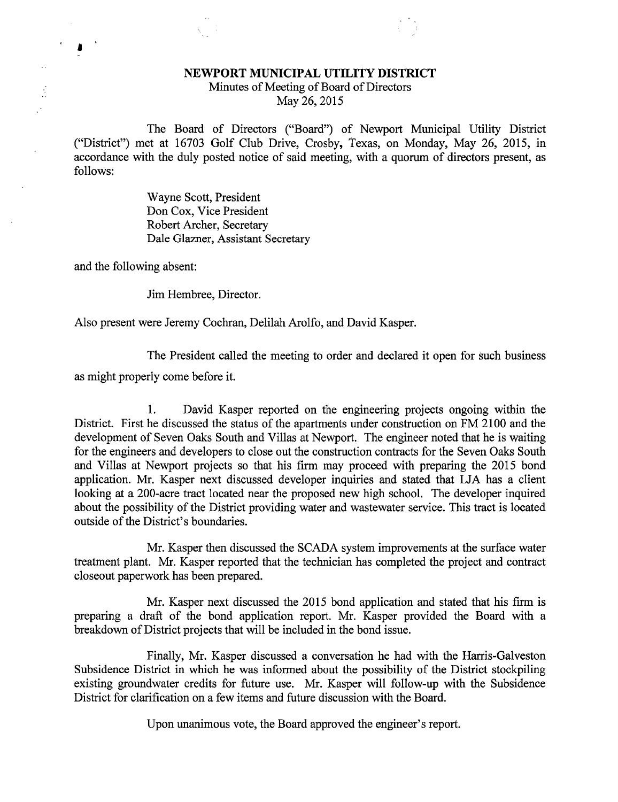## NEWPORT MUNICIPAL UTILITY DISTRICT Minutes of Meeting of Board of Directors May 26, 2015

The Board of Directors ("Board") of Newport Municipal Utility District ("District") met at 16703 Golf Club Drive, Crosby, Texas, on Monday, May 26, 2015, in accordance with the duly posted notice of said meeting, with a quorum of directors present, as follows:

> Wayne Scott, President Don Cox, Vice President Robert Archer, Secretary Dale Glazner, Assistant Secretary

and the following absent:

ľ

Jim Hembree, Director.

Also present were Jeremy Cochran, Delilah Arolfo, and David Kasper.

The President called the meeting to order and declared it open for such business

as might properly come before it.

1. David Kasper reported on the engineering projects ongoing within the District. First he discussed the status of the apartments under construction on FM 2100 and the development of Seven Oaks South and Villas at Newport. The engineer noted that he is waiting for the engineers and developers to close out the construction contracts for the Seven Oaks South and Villas at Newport projects so that his firm may proceed with preparing the 2015 bond application. Mr. Kasper next discussed developer inquiries and stated that LJA has a client looking at a 200-acre tract located near the proposed new high school. The developer inquired about the possibility of the District providing water and wastewater service. This tract is located outside of the District's boundaries.

Mr. Kasper then discussed the SCADA system improvements at the surface water treatment plant. Mr. Kasper reported that the technician has completed the project and contract closeout paperwork has been prepared.

Mr. Kasper next discussed the 2015 bond application and stated that his firm is preparing a draft of the bond application report. Mr. Kasper provided the Board with a breakdown of District projects that will be included in the bond issue.

Finally, Mr. Kasper discussed a conversation he had with the Harris-Galveston Subsidence District in which he was informed about the possibility of the District stockpiling existing groundwater credits for future use. Mr. Kasper will follow-up with the Subsidence District for clarification on a few items and future discussion with the Board.

Upon unanimous vote, the Board approved the engineer's report.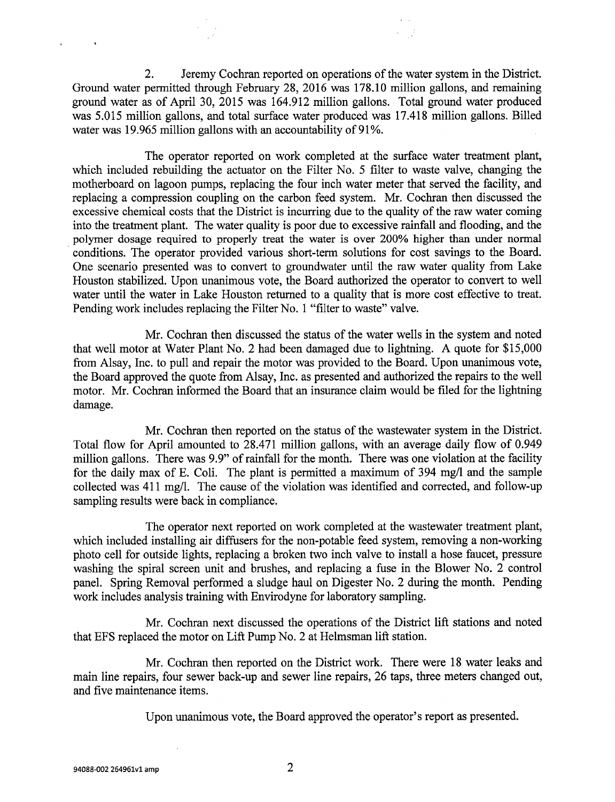2. Jeremy Cochran reported on operations of the water system in the District. Ground water permitted through February 28, 2016 was 178.10 million gallons, and remaining ground water as of April 30, 2015 was 164.912 million gallons. Total ground water produced was 5.015 million gallons, and total surface water produced was 17.418 million gallons. Billed water was 19.965 million gallons with an accountability of 91%.

The operator reported on work completed at the surface water treatment plant, which included rebuilding the actuator on the Filter No. 5 filter to waste valve, changing the motherboard on lagoon pumps, replacing the four inch water meter that served the facility, and replacing a compression coupling on the carbon feed system. Mr. Cochran then discussed the excessive chemical costs that the District is incurring due to the quality of the raw water coming into the treatment plant. The water quality is poor due to excessive rainfall and flooding, and the polymer dosage required to properly treat the water is over 200% higher than under normal conditions. The operator provided various short-term solutions for cost savings to the Board. One scenario presented was to convert to groundwater until the raw water quality from Lake Houston stabilized. Upon unanimous vote, the Board authorized the operator to convert to well water until the water in Lake Houston returned to a quality that is more cost effective to treat. Pending work includes replacing the Filter No. 1 "filter to waste" valve.

Mr. Cochran then discussed the status of the water wells in the system and noted that well motor at Water Plant No. 2 had been damaged due to lightning. A quote for \$15,000 from Alsay, Inc. to pull and repair the motor was provided to the Board. Upon unanimous vote, the Board approved the quote from Alsay, Inc. as presented and authorized the repairs to the well motor. Mr. Cochran informed the Board that an insurance claim would be filed for the lightning damage.

Mr. Cochran then reported on the status of the wastewater system in the District. Total flow for April amounted to 28.471 million gallons, with an average daily flow of 0.949 million gallons. There was 9.9" of rainfall for the month. There was one violation at the facility for the daily max of E. Coli. The plant is permitted a maximum of 394 mg/1 and the sample collected was 411 mg/l. The cause of the violation was identified and corrected, and follow-up sampling results were back in compliance.

The operator next reported on work completed at the wastewater treatment plant, which included installing air diffusers for the non-potable feed system, removing a non-working photo cell for outside lights, replacing a broken two inch valve to install a hose faucet, pressure washing the spiral screen unit and brushes, and replacing a fuse in the Blower No. 2 control panel. Spring Removal performed a sludge haul on Digester No. 2 during the month. Pending work includes analysis training with Envirodyne for laboratory sampling.

Mr. Cochran next discussed the operations of the District lift stations and noted that EFS replaced the motor on Lift Pump No. 2 at Helmsman lift station.

Mr. Cochran then reported on the District work. There were 18 water leaks and main line repairs, four sewer back-up and sewer line repairs, 26 taps, three meters changed out, and five maintenance items.

Upon unanimous vote, the Board approved the operator's report as presented.